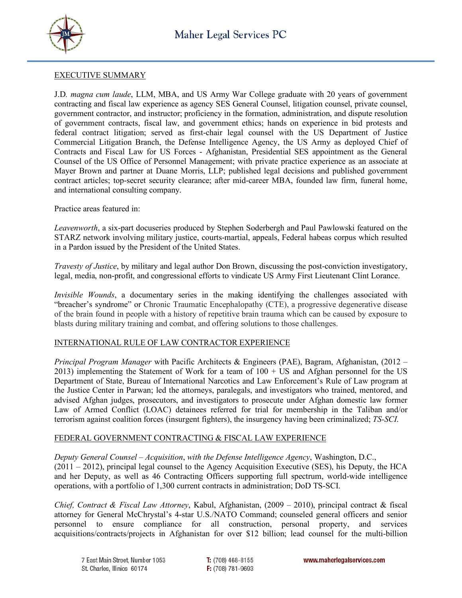



#### EXECUTIVE SUMMARY

J.D*. magna cum laude*, LLM, MBA, and US Army War College graduate with 20 years of government contracting and fiscal law experience as agency SES General Counsel, litigation counsel, private counsel, government contractor, and instructor; proficiency in the formation, administration, and dispute resolution of government contracts, fiscal law, and government ethics; hands on experience in bid protests and federal contract litigation; served as first-chair legal counsel with the US Department of Justice Commercial Litigation Branch, the Defense Intelligence Agency, the US Army as deployed Chief of Contracts and Fiscal Law for US Forces - Afghanistan, Presidential SES appointment as the General Counsel of the US Office of Personnel Management; with private practice experience as an associate at Mayer Brown and partner at Duane Morris, LLP; published legal decisions and published government contract articles; top-secret security clearance; after mid-career MBA, founded law firm, funeral home, and international consulting company.

Practice areas featured in:

*Leavenworth*, a six-part docuseries produced by Stephen Soderbergh and Paul Pawlowski featured on the STARZ network involving military justice, courts-martial, appeals, Federal habeas corpus which resulted in a Pardon issued by the President of the United States.

*Travesty of Justice*, by military and legal author Don Brown, discussing the post-conviction investigatory, legal, media, non-profit, and congressional efforts to vindicate US Army First Lieutenant Clint Lorance.

*Invisible Wounds*, a documentary series in the making identifying the challenges associated with "breacher's syndrome" or Chronic Traumatic Encephalopathy (CTE), a progressive degenerative disease of the brain found in people with a history of repetitive brain trauma which can be caused by exposure to blasts during military training and combat, and offering solutions to those challenges.

## INTERNATIONAL RULE OF LAW CONTRACTOR EXPERIENCE

*Principal Program Manager* with Pacific Architects & Engineers (PAE), Bagram, Afghanistan, (2012 – 2013) implementing the Statement of Work for a team of 100 + US and Afghan personnel for the US Department of State, Bureau of International Narcotics and Law Enforcement's Rule of Law program at the Justice Center in Parwan; led the attorneys, paralegals, and investigators who trained, mentored, and advised Afghan judges, prosecutors, and investigators to prosecute under Afghan domestic law former Law of Armed Conflict (LOAC) detainees referred for trial for membership in the Taliban and/or terrorism against coalition forces (insurgent fighters), the insurgency having been criminalized; *TS-SCI*.

## FEDERAL GOVERNMENT CONTRACTING & FISCAL LAW EXPERIENCE

*Deputy General Counsel – Acquisition*, *with the Defense Intelligence Agency*, Washington, D.C.,

(2011 – 2012), principal legal counsel to the Agency Acquisition Executive (SES), his Deputy, the HCA and her Deputy, as well as 46 Contracting Officers supporting full spectrum, world-wide intelligence operations, with a portfolio of 1,300 current contracts in administration; DoD TS-SCI.

*Chief, Contract & Fiscal Law Attorney*, Kabul, Afghanistan, (2009 – 2010), principal contract & fiscal attorney for General McChrystal's 4-star U.S./NATO Command; counseled general officers and senior personnel to ensure compliance for all construction, personal property, and services acquisitions/contracts/projects in Afghanistan for over \$12 billion; lead counsel for the multi-billion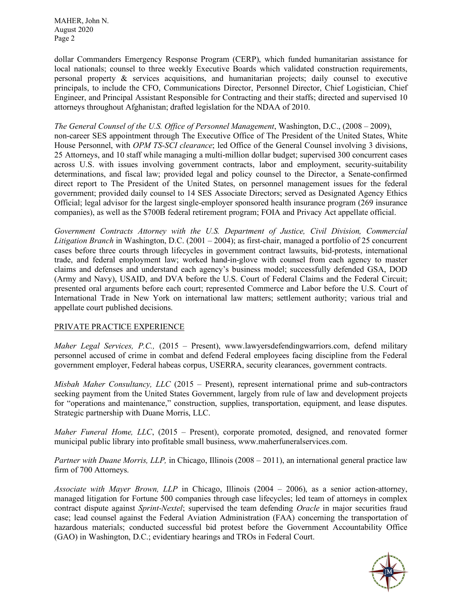MAHER, John N. August 2020 Page 2

dollar Commanders Emergency Response Program (CERP), which funded humanitarian assistance for local nationals; counsel to three weekly Executive Boards which validated construction requirements, personal property & services acquisitions, and humanitarian projects; daily counsel to executive principals, to include the CFO, Communications Director, Personnel Director, Chief Logistician, Chief Engineer, and Principal Assistant Responsible for Contracting and their staffs; directed and supervised 10 attorneys throughout Afghanistan; drafted legislation for the NDAA of 2010.

*The General Counsel of the U.S. Office of Personnel Management*, Washington, D.C., (2008 – 2009), non-career SES appointment through The Executive Office of The President of the United States, White House Personnel, with *OPM TS-SCI clearance*; led Office of the General Counsel involving 3 divisions, 25 Attorneys, and 10 staff while managing a multi-million dollar budget; supervised 300 concurrent cases across U.S. with issues involving government contracts, labor and employment, security-suitability determinations, and fiscal law; provided legal and policy counsel to the Director, a Senate-confirmed direct report to The President of the United States, on personnel management issues for the federal government; provided daily counsel to 14 SES Associate Directors; served as Designated Agency Ethics Official; legal advisor for the largest single-employer sponsored health insurance program (269 insurance companies), as well as the \$700B federal retirement program; FOIA and Privacy Act appellate official.

*Government Contracts Attorney with the U.S. Department of Justice, Civil Division, Commercial Litigation Branch* in Washington, D.C. (2001 – 2004); as first-chair, managed a portfolio of 25 concurrent cases before three courts through lifecycles in government contract lawsuits, bid-protests, international trade, and federal employment law; worked hand-in-glove with counsel from each agency to master claims and defenses and understand each agency's business model; successfully defended GSA, DOD (Army and Navy), USAID, and DVA before the U.S. Court of Federal Claims and the Federal Circuit; presented oral arguments before each court; represented Commerce and Labor before the U.S. Court of International Trade in New York on international law matters; settlement authority; various trial and appellate court published decisions.

## PRIVATE PRACTICE EXPERIENCE

*Maher Legal Services, P.C.,* (2015 – Present), www.lawyersdefendingwarriors.com, defend military personnel accused of crime in combat and defend Federal employees facing discipline from the Federal government employer, Federal habeas corpus, USERRA, security clearances, government contracts.

*Misbah Maher Consultancy, LLC* (2015 – Present), represent international prime and sub-contractors seeking payment from the United States Government, largely from rule of law and development projects for "operations and maintenance," construction, supplies, transportation, equipment, and lease disputes. Strategic partnership with Duane Morris, LLC.

*Maher Funeral Home, LLC*, (2015 – Present), corporate promoted, designed, and renovated former municipal public library into profitable small business, www.maherfuneralservices.com.

*Partner with Duane Morris, LLP,* in Chicago, Illinois (2008 – 2011), an international general practice law firm of 700 Attorneys.

*Associate with Mayer Brown, LLP* in Chicago, Illinois (2004 – 2006), as a senior action-attorney, managed litigation for Fortune 500 companies through case lifecycles; led team of attorneys in complex contract dispute against *Sprint-Nextel*; supervised the team defending *Oracle* in major securities fraud case; lead counsel against the Federal Aviation Administration (FAA) concerning the transportation of hazardous materials; conducted successful bid protest before the Government Accountability Office (GAO) in Washington, D.C.; evidentiary hearings and TROs in Federal Court.

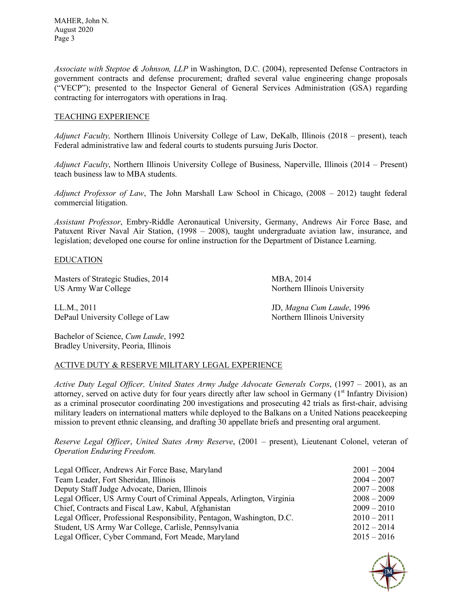*Associate with Steptoe & Johnson, LLP* in Washington, D.C. (2004), represented Defense Contractors in government contracts and defense procurement; drafted several value engineering change proposals ("VECP"); presented to the Inspector General of General Services Administration (GSA) regarding contracting for interrogators with operations in Iraq.

# TEACHING EXPERIENCE

*Adjunct Faculty,* Northern Illinois University College of Law, DeKalb, Illinois (2018 – present), teach Federal administrative law and federal courts to students pursuing Juris Doctor.

*Adjunct Faculty*, Northern Illinois University College of Business, Naperville, Illinois (2014 – Present) teach business law to MBA students.

*Adjunct Professor of Law*, The John Marshall Law School in Chicago, (2008 – 2012) taught federal commercial litigation.

*Assistant Professor*, Embry-Riddle Aeronautical University, Germany, Andrews Air Force Base, and Patuxent River Naval Air Station, (1998 – 2008), taught undergraduate aviation law, insurance, and legislation; developed one course for online instruction for the Department of Distance Learning.

## EDUCATION

Masters of Strategic Studies, 2014 MBA, 2014 US Army War College Northern Illinois University

LL.M., 2011 JD, *Magna Cum Laude*, 1996 DePaul University College of Law Northern Illinois University

Bachelor of Science, *Cum Laude*, 1992 Bradley University, Peoria, Illinois

## ACTIVE DUTY & RESERVE MILITARY LEGAL EXPERIENCE

*Active Duty Legal Officer, United States Army Judge Advocate Generals Corps*, (1997 – 2001), as an attorney, served on active duty for four years directly after law school in Germany  $(1<sup>st</sup>$  Infantry Division) as a criminal prosecutor coordinating 200 investigations and prosecuting 42 trials as first-chair, advising military leaders on international matters while deployed to the Balkans on a United Nations peacekeeping mission to prevent ethnic cleansing, and drafting 30 appellate briefs and presenting oral argument.

*Reserve Legal Officer*, *United States Army Reserve*, (2001 – present), Lieutenant Colonel, veteran of *Operation Enduring Freedom.* 

| Legal Officer, Andrews Air Force Base, Maryland                        | $2001 - 2004$ |
|------------------------------------------------------------------------|---------------|
| Team Leader, Fort Sheridan, Illinois                                   | $2004 - 2007$ |
| Deputy Staff Judge Advocate, Darien, Illinois                          | $2007 - 2008$ |
| Legal Officer, US Army Court of Criminal Appeals, Arlington, Virginia  | $2008 - 2009$ |
| Chief, Contracts and Fiscal Law, Kabul, Afghanistan                    | $2009 - 2010$ |
| Legal Officer, Professional Responsibility, Pentagon, Washington, D.C. | $2010 - 2011$ |
| Student, US Army War College, Carlisle, Pennsylvania                   | $2012 - 2014$ |
| Legal Officer, Cyber Command, Fort Meade, Maryland                     | $2015 - 2016$ |

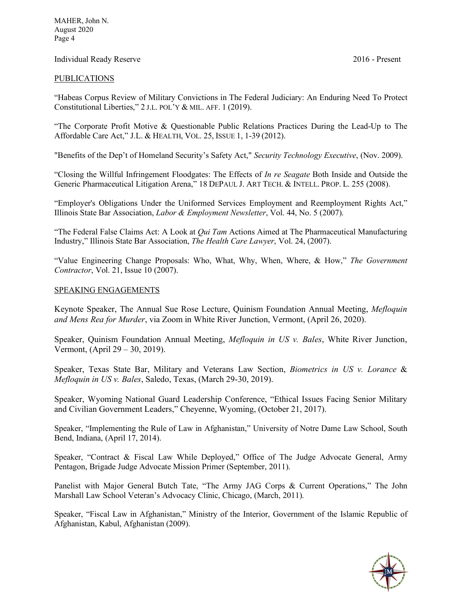MAHER, John N. August 2020 Page 4

#### Individual Ready Reserve 2016 - Present

#### PUBLICATIONS

"Habeas Corpus Review of Military Convictions in The Federal Judiciary: An Enduring Need To Protect Constitutional Liberties," 2 J.L. POL'Y & MIL. AFF. 1 (2019).

"The Corporate Profit Motive & Questionable Public Relations Practices During the Lead-Up to The Affordable Care Act," J.L. & HEALTH, VOL. 25, ISSUE 1, 1-39 (2012).

"Benefits of the Dep't of Homeland Security's Safety Act," *Security Technology Executive*, (Nov. 2009).

"Closing the Willful Infringement Floodgates: The Effects of *In re Seagate* Both Inside and Outside the Generic Pharmaceutical Litigation Arena," 18 DEPAUL J. ART TECH. & INTELL. PROP. L. 255 (2008).

"Employer's Obligations Under the Uniformed Services Employment and Reemployment Rights Act," Illinois State Bar Association, *Labor & Employment Newsletter*, Vol. 44, No. 5 (2007).

"The Federal False Claims Act: A Look at *Qui Tam* Actions Aimed at The Pharmaceutical Manufacturing Industry," Illinois State Bar Association, *The Health Care Lawyer*, Vol. 24, (2007).

"Value Engineering Change Proposals: Who, What, Why, When, Where, & How," *The Government Contractor*, Vol. 21, Issue 10 (2007).

#### SPEAKING ENGAGEMENTS

Keynote Speaker, The Annual Sue Rose Lecture, Quinism Foundation Annual Meeting, *Mefloquin and Mens Rea for Murder*, via Zoom in White River Junction, Vermont, (April 26, 2020).

Speaker, Quinism Foundation Annual Meeting, *Mefloquin in US v. Bales*, White River Junction, Vermont, (April 29 – 30, 2019).

Speaker, Texas State Bar, Military and Veterans Law Section, *Biometrics in US v. Lorance* & *Mefloquin in US v. Bales*, Saledo, Texas, (March 29-30, 2019).

Speaker, Wyoming National Guard Leadership Conference, "Ethical Issues Facing Senior Military and Civilian Government Leaders," Cheyenne, Wyoming, (October 21, 2017).

Speaker, "Implementing the Rule of Law in Afghanistan," University of Notre Dame Law School, South Bend, Indiana, (April 17, 2014).

Speaker, "Contract & Fiscal Law While Deployed," Office of The Judge Advocate General, Army Pentagon, Brigade Judge Advocate Mission Primer (September, 2011).

Panelist with Major General Butch Tate, "The Army JAG Corps & Current Operations," The John Marshall Law School Veteran's Advocacy Clinic, Chicago, (March, 2011).

Speaker, "Fiscal Law in Afghanistan," Ministry of the Interior, Government of the Islamic Republic of Afghanistan, Kabul, Afghanistan (2009).